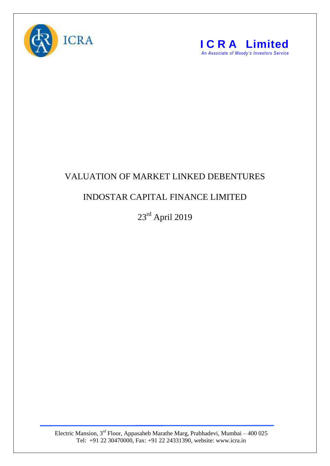



## VALUATION OF MARKET LINKED DEBENTURES

## INDOSTAR CAPITAL FINANCE LIMITED

23rd April 2019

Electric Mansion,  $3<sup>rd</sup>$  Floor, Appasaheb Marathe Marg, Prabhadevi, Mumbai – 400 025 Tel: +91 22 30470000, Fax: +91 22 24331390, website: www.icra.in